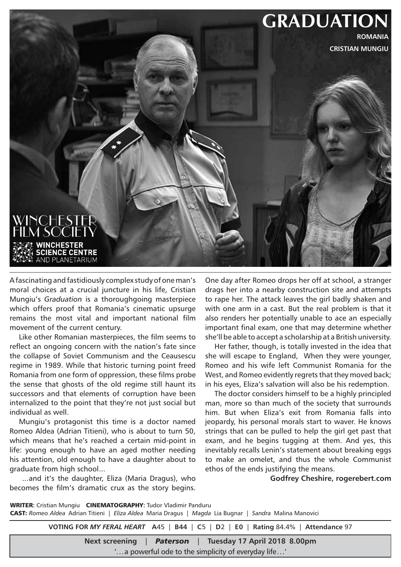

A fascinating and fastidiously complex study of one man's moral choices at a crucial juncture in his life, Cristian Mungiu's *Graduation* is a thoroughgoing masterpiece which offers proof that Romania's cinematic upsurge remains the most vital and important national film movement of the current century.

Like other Romanian masterpieces, the film seems to reflect an ongoing concern with the nation's fate since the collapse of Soviet Communism and the Ceausescu regime in 1989. While that historic turning point freed Romania from one form of oppression, these films probe the sense that ghosts of the old regime still haunt its successors and that elements of corruption have been internalized to the point that they're not just social but individual as well.

Mungiu's protagonist this time is a doctor named Romeo Aldea (Adrian Titieni), who is about to turn 50, which means that he's reached a certain mid-point in life: young enough to have an aged mother needing his attention, old enough to have a daughter about to graduate from high school...

 ...and it's the daughter, Eliza (Maria Dragus), who becomes the film's dramatic crux as the story begins. One day after Romeo drops her off at school, a stranger drags her into a nearby construction site and attempts to rape her. The attack leaves the girl badly shaken and with one arm in a cast. But the real problem is that it also renders her potentially unable to ace an especially important final exam, one that may determine whether she'll be able to accept a scholarship at a British university.

Her father, though, is totally invested in the idea that she will escape to England, When they were younger, Romeo and his wife left Communist Romania for the West, and Romeo evidently regrets that they moved back; in his eyes, Eliza's salvation will also be his redemption.

The doctor considers himself to be a highly principled man, more so than much of the society that surrounds him. But when Eliza's exit from Romania falls into jeopardy, his personal morals start to waver. He knows strings that can be pulled to help the girl get past that exam, and he begins tugging at them. And yes, this inevitably recalls Lenin's statement about breaking eggs to make an omelet, and thus the whole Communist ethos of the ends justifying the means.

**Godfrey Cheshire, rogerebert.com**

WRITER: Cristian Mungiu CINEMATOGRAPHY: Tudor Vladimir Panduru CAST: *Romeo Aldea* Adrian Titieni | *Eliza Aldea* Maria Dragus | *Magda* Lia Bugnar | *Sandra* Malina Manovici

**VOTING FOR** *MY FERAL HEART* **A**45 | **B44** | **C**5 | **D**2 | **E0** | **Rating** 84.4% | **Attendance** 97

**Next screening** | *Paterson* | **Tuesday 17 April 2018 8.00pm**

'...a powerful ode to the simplicity of everyday life...'